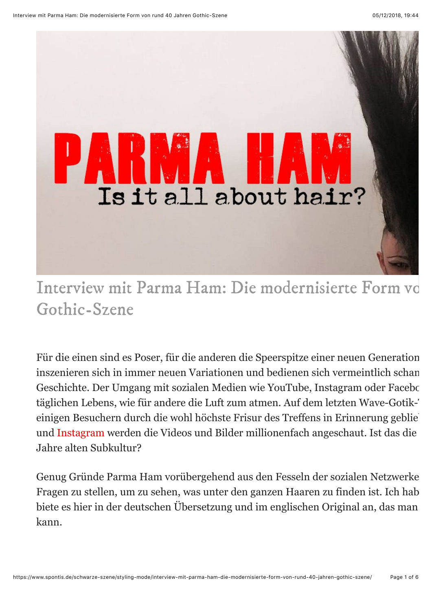

[Interview mit Parma Ham: Die modernisierte Form vo](https://www.spontis.de/wp/wp-content/uploads/2018/11/Parma-Ham-Is-it-all-about-Hair-Teaser.jpg)n Gothic-Szene

Für die einen sind es Poser, für die anderen die Speerspitze einer neuen Generation inszenieren sich in immer neuen Variationen und bedienen sich vermeintlich schan Geschichte. Der Umgang mit sozialen Medien wie YouTube, Instagram oder Facebo täglichen Lebens, wie für andere die Luft zum atmen. Auf dem letzten Wave-Gotik-' einigen Besuchern durch die wohl höchste Frisur des Treffens in Erinnerung geblie und [Instagram](https://www.instagram.com/parma.ham/) werden die Videos und Bilder millionenfach angeschaut. Ist das die Jahre alten Subkultur?

Genug Gründe Parma Ham vorübergehend aus den Fesseln der sozialen Netzwerke Fragen zu stellen, um zu sehen, was unter den ganzen Haaren zu finden ist. Ich hab biete es hier in der deutschen Übersetzung und im englischen Original an, das man kann.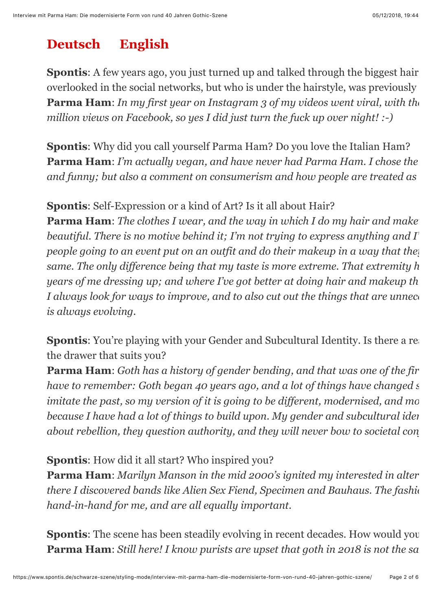## **Deutsch English**

**Spontis:** A few years ago, you just turned up and talked through the biggest hair overlooked in the social networks, but who is under the hairstyle, was previously **Parma Ham**: *In my first year on Instagram 3 of my videos went viral, with the million views on Facebook, so yes I did just turn the fuck up over night! :-)*

**Spontis**: Why did you call yourself Parma Ham? Do you love the Italian Ham? **Parma Ham**: *I'm actually vegan, and have never had Parma Ham. I chose the and funny; but also a comment on consumerism and how people are treated as meat.*

**Spontis**: Self-Expression or a kind of Art? Is it all about Hair?

**Parma Ham**: *The clothes I wear, and the way in which I do my hair and make beautiful. There is no motive behind it; I'm not trying to express anything and I' people going to an event put on an outfit and do their makeup in a way that the same. The only difference being that my taste is more extreme. That extremity has same. years of me dressing up; and where I've got better at doing hair and makeup th I always look for ways to improve, and to also cut out the things that are unneced in this infrary. is always evolving.*

**Spontis:** You're playing with your Gender and Subcultural Identity. Is there a reason for that the drawer that suits you?

**Parma Ham:** *Goth has a history of gender bending, and that was one of the fir have to remember: Goth began 40 years ago, and a lot of things have changed single to remember: Goth began 40 years ago, and a lot of things have changed single imitate the past, so my version of it is going to be different, modernised, and mo because I have had a lot of things to build upon. My gender and subcultural identity are very entity are both about rebellion, they question authority, and they will never bow to societal con* 

## **Spontis**: How did it all start? Who inspired you?

**Parma Ham:** *Marilyn Manson in the mid 2000's ignited my interested in alternative music music music music music music music music music music music music music music music music music music music music music music music there I discovered bands like Alien Sex Fiend, Specimen and Bauhaus. The fashion, metally culture all governal governal governal governal the fashion*, and governal governal governal governal governal governal governal go *hand-in-hand for me, and are all equally important.*

**Spontis:** The scene has been steadily evolving in recent decades. How would you **Parma Ham:** *Still here! I know purists are upset that goth in 2018 is not the same as in 1984. But in 1984, but in 2018 is not the same as in 1984. But in 1984, but it also in 1984. But it also in 1984, but it also in 19*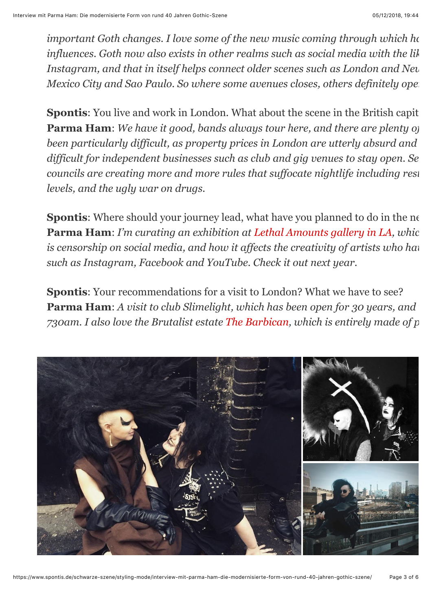*important Goth changes. I love some of the new music coming through which he influences. Goth now also exists in other realms such as social media with the lik Instagram, and that in itself helps connect older scenes such as London and New Mexico City and Sao Paulo. So where some avenues closes, others definitely open* 

**Spontis:** You live and work in London. What about the scene in the British capit **Parma Ham**: *We have it good, bands always tour here, and there are plenty of been particularly difficult, as property prices in London are utterly absurd and difficult for independent businesses such as club and gig venues to stay open. Se councils are creating more and more rules that suffocate nightlife including rest levels, and the ugly war on drugs.*

**Spontis:** Where should your journey lead, what have you planned to do in the ne **Parma Ham**: *I'm curating an exhibition at [Lethal Amounts gallery in LA](http://lethalamounts.com/)*, *which* opens in February 2019. The themeorem in February 2019. The themeorem in February 2019. The themeorem in February 2019. Themeorem in Februa *is censorship on social media, and how it affects the creativity of artists who have foreignsuch as Instagram, Facebook and YouTube. Check it out next year.*

**Spontis**: Your recommendations for a visit to London? What we have to see? **Parma Ham:** A visit to club Slimelight, which has been open for 30 years, and *730am. I also love the Brutalist estate The Barbican*, which is entirely made of p

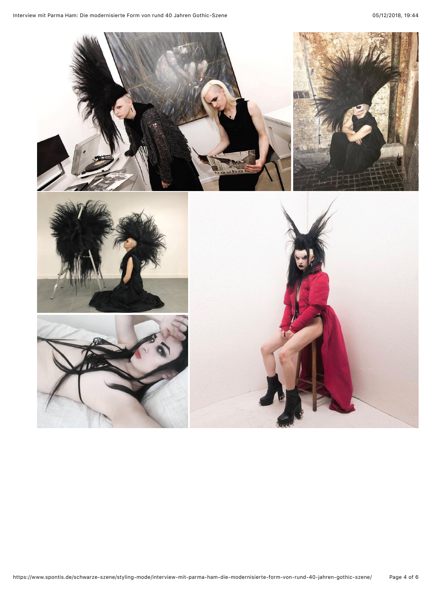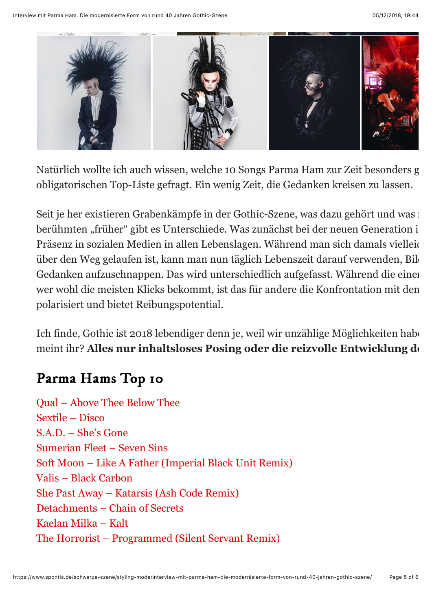

Natürlich wollte ich auch wissen, welche 10 Songs Parma Ham zur Zeit besonders g obligatorischen Top-Liste gefragt. Ein wenig Zeit, die Gedanken kreisen zu lassen.

Seit je her existieren Grabenkämpfe in der Gothic-Szene, was dazu gehört und was nicht, doch im Gegensatz zum G berühmten "früher" gibt es Unterschiede. Was zunächst bei der neuen Generation i Präsenz in sozialen Medien in allen Lebenslagen. Während man sich damals vielleicht über den Weg gelaufen ist, kann man nun täglich Lebenszeit darauf verwenden, Bilder Gedanken aufzuschnappen. Das wird unterschiedlich aufgefasst. Während die einen wer wohl die meisten Klicks bekommt, ist das für andere die Konfrontation mit den polarisiert und bietet Reibungspotential.

Ich finde, Gothic ist 2018 lebendiger denn je, weil wir unzählige Möglichkeiten haben, an der Szene zu teiliguha meint ihr? Alles nur inhaltsloses Posing oder die reizvolle Entwicklung de

## Parma Hams Top 10

[Qual – Above Thee Below Thee](https://www.youtube.com/watch?v=Ky9JrNrrXLg) [Sextile – Disco](https://www.youtube.com/watch?v=4PR_9beuFDk) [S.A.D. – She's Gone](https://www.youtube.com/watch?v=GXGh25xnkEY)  [Sumerian Fleet – Seven Sins](https://www.youtube.com/watch?v=2hAMEhT_wac) [Soft Moon – Like A Father \(Imperial Black Unit Remix\)](https://www.youtube.com/watch?v=r0hObhH4gWY) [Valis – Black Carbon](https://www.youtube.com/watch?v=fdc-F8T44KY) [She Past Away – Katarsis \(Ash Code Remix\)](https://www.youtube.com/watch?v=83COMpTHqDM) [Detachments – Chain of Secrets](https://www.youtube.com/watch?v=xj5_BDqYeiY) [Kaelan Milka – Kalt](https://www.youtube.com/watch?v=ImyPz4tqPFU) [The Horrorist – Programmed \(Silent Servant Remix\)](https://www.youtube.com/watch?v=uHlGB7TTNwU)